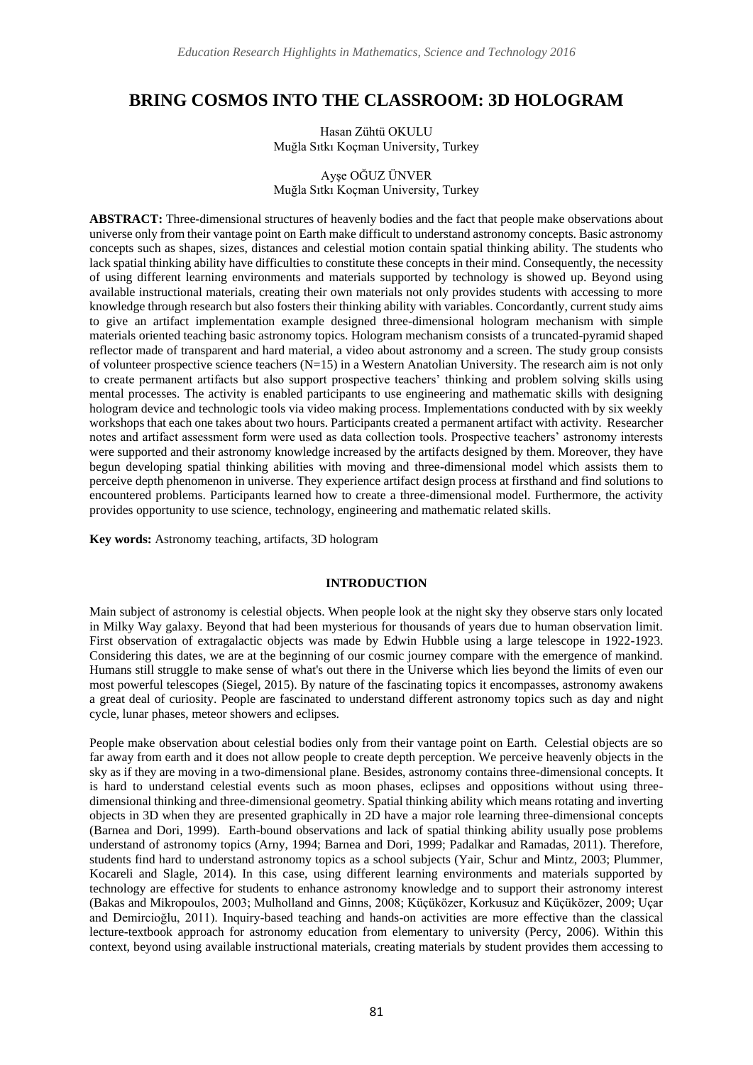# **BRING COSMOS INTO THE CLASSROOM: 3D HOLOGRAM**

Hasan Zühtü OKULU Muğla Sıtkı Koçman University, Turkey

## Ayşe OĞUZ ÜNVER Muğla Sıtkı Koçman University, Turkey

**ABSTRACT:** Three-dimensional structures of heavenly bodies and the fact that people make observations about universe only from their vantage point on Earth make difficult to understand astronomy concepts. Basic astronomy concepts such as shapes, sizes, distances and celestial motion contain spatial thinking ability. The students who lack spatial thinking ability have difficulties to constitute these concepts in their mind. Consequently, the necessity of using different learning environments and materials supported by technology is showed up. Beyond using available instructional materials, creating their own materials not only provides students with accessing to more knowledge through research but also fosters their thinking ability with variables. Concordantly, current study aims to give an artifact implementation example designed three-dimensional hologram mechanism with simple materials oriented teaching basic astronomy topics. Hologram mechanism consists of a truncated-pyramid shaped reflector made of transparent and hard material, a video about astronomy and a screen. The study group consists of volunteer prospective science teachers (N=15) in a Western Anatolian University. The research aim is not only to create permanent artifacts but also support prospective teachers' thinking and problem solving skills using mental processes. The activity is enabled participants to use engineering and mathematic skills with designing hologram device and technologic tools via video making process. Implementations conducted with by six weekly workshops that each one takes about two hours. Participants created a permanent artifact with activity. Researcher notes and artifact assessment form were used as data collection tools. Prospective teachers' astronomy interests were supported and their astronomy knowledge increased by the artifacts designed by them. Moreover, they have begun developing spatial thinking abilities with moving and three-dimensional model which assists them to perceive depth phenomenon in universe. They experience artifact design process at firsthand and find solutions to encountered problems. Participants learned how to create a three-dimensional model. Furthermore, the activity provides opportunity to use science, technology, engineering and mathematic related skills.

**Key words:** Astronomy teaching, artifacts, 3D hologram

## **INTRODUCTION**

Main subject of astronomy is celestial objects. When people look at the night sky they observe stars only located in Milky Way galaxy. Beyond that had been mysterious for thousands of years due to human observation limit. First observation of extragalactic objects was made by Edwin Hubble using a large telescope in 1922-1923. Considering this dates, we are at the beginning of our cosmic journey compare with the emergence of mankind. Humans still struggle to make sense of what's out there in the Universe which lies beyond the limits of even our most powerful telescopes (Siegel, 2015). By nature of the fascinating topics it encompasses, astronomy awakens a great deal of curiosity. People are fascinated to understand different astronomy topics such as day and night cycle, lunar phases, meteor showers and eclipses.

People make observation about celestial bodies only from their vantage point on Earth. Celestial objects are so far away from earth and it does not allow people to create depth perception. We perceive heavenly objects in the sky as if they are moving in a two-dimensional plane. Besides, astronomy contains three-dimensional concepts. It is hard to understand celestial events such as moon phases, eclipses and oppositions without using threedimensional thinking and three-dimensional geometry. Spatial thinking ability which means rotating and inverting objects in 3D when they are presented graphically in 2D have a major role learning three-dimensional concepts (Barnea and Dori, 1999). Earth-bound observations and lack of spatial thinking ability usually pose problems understand of astronomy topics (Arny, 1994; Barnea and Dori, 1999; Padalkar and Ramadas, 2011). Therefore, students find hard to understand astronomy topics as a school subjects (Yair, Schur and Mintz, 2003; Plummer, Kocareli and Slagle, 2014). In this case, using different learning environments and materials supported by technology are effective for students to enhance astronomy knowledge and to support their astronomy interest (Bakas and Mikropoulos, 2003; Mulholland and Ginns, 2008; Küçüközer, Korkusuz and Küçüközer, 2009; Uçar and Demircioğlu, 2011). Inquiry-based teaching and hands-on activities are more effective than the classical lecture-textbook approach for astronomy education from elementary to university (Percy, 2006). Within this context, beyond using available instructional materials, creating materials by student provides them accessing to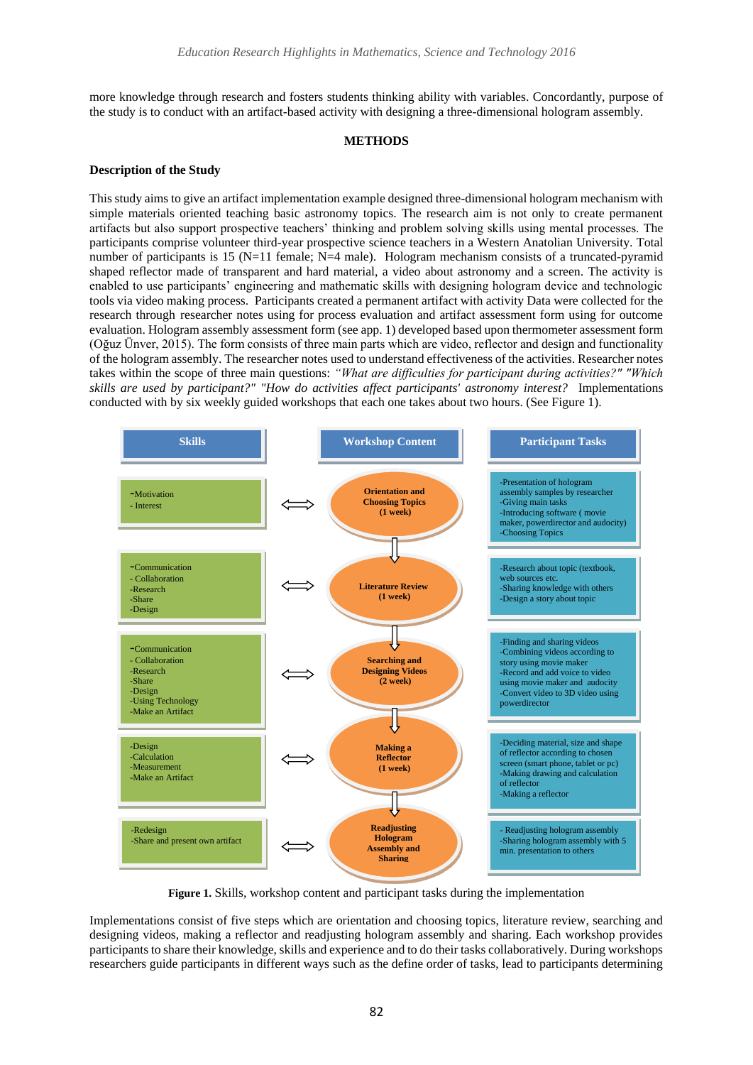more knowledge through research and fosters students thinking ability with variables. Concordantly, purpose of the study is to conduct with an artifact-based activity with designing a three-dimensional hologram assembly.

### **METHODS**

#### **Description of the Study**

This study aims to give an artifact implementation example designed three-dimensional hologram mechanism with simple materials oriented teaching basic astronomy topics. The research aim is not only to create permanent artifacts but also support prospective teachers' thinking and problem solving skills using mental processes. The participants comprise volunteer third-year prospective science teachers in a Western Anatolian University. Total number of participants is 15 (N=11 female; N=4 male). Hologram mechanism consists of a truncated-pyramid shaped reflector made of transparent and hard material, a video about astronomy and a screen. The activity is enabled to use participants' engineering and mathematic skills with designing hologram device and technologic tools via video making process. Participants created a permanent artifact with activity Data were collected for the research through researcher notes using for process evaluation and artifact assessment form using for outcome evaluation. Hologram assembly assessment form (see app. 1) developed based upon thermometer assessment form (Oğuz Ünver, 2015). The form consists of three main parts which are video, reflector and design and functionality of the hologram assembly. The researcher notes used to understand effectiveness of the activities. Researcher notes takes within the scope of three main questions: *"What are difficulties for participant during activities?" "Which skills are used by participant?" "How do activities affect participants' astronomy interest?* Implementations conducted with by six weekly guided workshops that each one takes about two hours. (See Figure 1).



**Figure 1.** Skills, workshop content and participant tasks during the implementation

Implementations consist of five steps which are orientation and choosing topics, literature review, searching and designing videos, making a reflector and readjusting hologram assembly and sharing. Each workshop provides participants to share their knowledge, skills and experience and to do their tasks collaboratively. During workshops researchers guide participants in different ways such as the define order of tasks, lead to participants determining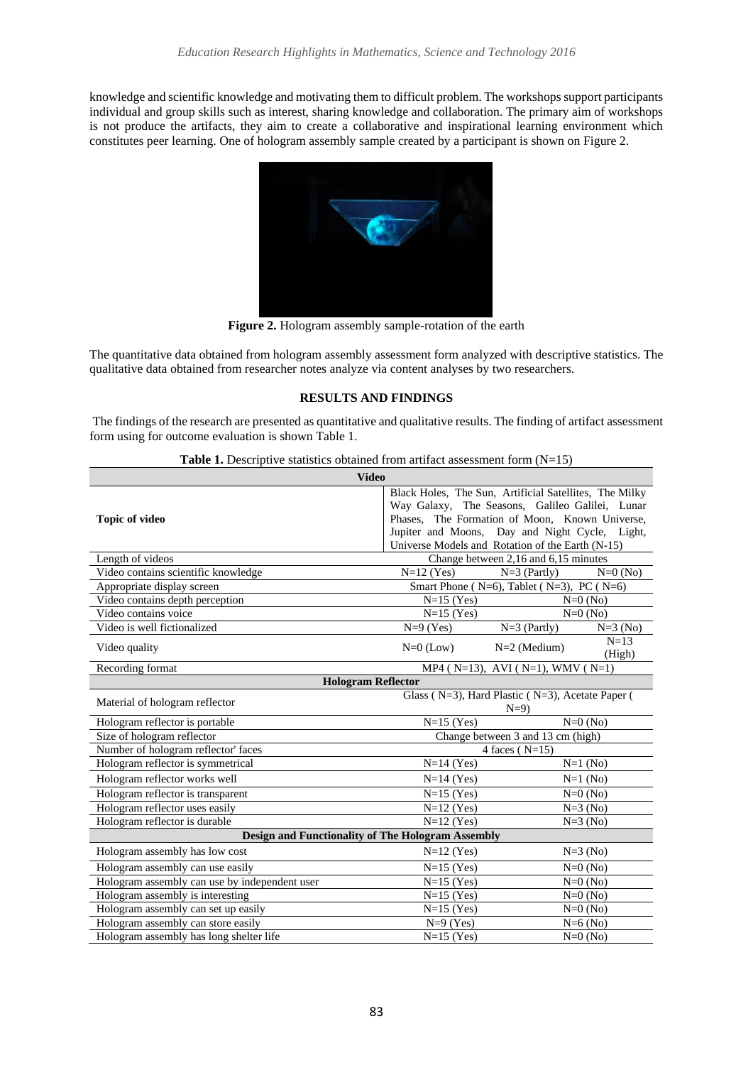knowledge and scientific knowledge and motivating them to difficult problem. The workshops support participants individual and group skills such as interest, sharing knowledge and collaboration. The primary aim of workshops is not produce the artifacts, they aim to create a collaborative and inspirational learning environment which constitutes peer learning. One of hologram assembly sample created by a participant is shown on Figure 2.



**Figure 2.** Hologram assembly sample-rotation of the earth

The quantitative data obtained from hologram assembly assessment form analyzed with descriptive statistics. The qualitative data obtained from researcher notes analyze via content analyses by two researchers.

## **RESULTS AND FINDINGS**

The findings of the research are presented as quantitative and qualitative results. The finding of artifact assessment form using for outcome evaluation is shown Table 1.

|  | <b>Table 1.</b> Descriptive statistics obtained from artifact assessment form $(N=15)$ |  |  |  |  |  |  |
|--|----------------------------------------------------------------------------------------|--|--|--|--|--|--|
|--|----------------------------------------------------------------------------------------|--|--|--|--|--|--|

| <b>Video</b>                                                     |                                                        |                                                           |                       |  |  |  |
|------------------------------------------------------------------|--------------------------------------------------------|-----------------------------------------------------------|-----------------------|--|--|--|
|                                                                  | Black Holes, The Sun, Artificial Satellites, The Milky |                                                           |                       |  |  |  |
|                                                                  |                                                        | Way Galaxy, The Seasons, Galileo Galilei, Lunar           |                       |  |  |  |
| <b>Topic of video</b>                                            | Phases, The Formation of Moon, Known Universe,         |                                                           |                       |  |  |  |
|                                                                  | Jupiter and Moons, Day and Night Cycle, Light,         |                                                           |                       |  |  |  |
|                                                                  |                                                        | Universe Models and Rotation of the Earth (N-15)          |                       |  |  |  |
| Length of videos                                                 |                                                        | Change between 2,16 and 6,15 minutes                      |                       |  |  |  |
| Video contains scientific knowledge                              |                                                        | $N=12$ (Yes)<br>$N=3$ (Partly)<br>$N=0$ (No)              |                       |  |  |  |
| Appropriate display screen                                       |                                                        | Smart Phone ( $N=6$ ), Tablet ( $N=3$ ), PC ( $N=6$ )     |                       |  |  |  |
| Video contains depth perception                                  | $N=15$ (Yes)                                           |                                                           | $N=0$ (No)            |  |  |  |
| Video contains voice                                             | $N=15$ (Yes)                                           |                                                           | $\overline{N=0}$ (No) |  |  |  |
| Video is well fictionalized                                      | $N=9$ (Yes)                                            | $N=3$ (Partly)                                            | $N=3 (No)$            |  |  |  |
| Video quality                                                    | $N=0$ (Low)                                            | $N=2$ (Medium)                                            | $N=13$<br>(High)      |  |  |  |
| Recording format<br>MP4 ( $N=13$ ), AVI ( $N=1$ ), WMV ( $N=1$ ) |                                                        |                                                           |                       |  |  |  |
| <b>Hologram Reflector</b>                                        |                                                        |                                                           |                       |  |  |  |
| Material of hologram reflector                                   |                                                        | Glass (N=3), Hard Plastic (N=3), Acetate Paper (<br>$N=9$ |                       |  |  |  |
| Hologram reflector is portable                                   | $N=15$ (Yes)                                           |                                                           | $N=0 (No)$            |  |  |  |
| Size of hologram reflector                                       |                                                        | Change between 3 and 13 cm (high)                         |                       |  |  |  |
| Number of hologram reflector' faces                              |                                                        | 4 faces ( $N=15$ )                                        |                       |  |  |  |
| Hologram reflector is symmetrical                                | $N=14$ (Yes)                                           | $N=1$ (No)                                                |                       |  |  |  |
| Hologram reflector works well                                    | $N=14$ (Yes)                                           |                                                           | $N=1$ (No)            |  |  |  |
| Hologram reflector is transparent                                | $N=15$ (Yes)                                           |                                                           | $N=0$ (No)            |  |  |  |
| Hologram reflector uses easily                                   | $N=12$ (Yes)                                           |                                                           | $N=3$ (No)            |  |  |  |
| Hologram reflector is durable                                    | $N=12$ (Yes)                                           |                                                           | $N=3$ (No)            |  |  |  |
| <b>Design and Functionality of The Hologram Assembly</b>         |                                                        |                                                           |                       |  |  |  |
| Hologram assembly has low cost                                   | $N=12$ (Yes)                                           |                                                           | $N=3$ (No)            |  |  |  |
| Hologram assembly can use easily                                 | $N=15$ (Yes)                                           |                                                           | $N=0$ (No)            |  |  |  |
| Hologram assembly can use by independent user                    | $N=15$ (Yes)                                           |                                                           | $N=0$ (No)            |  |  |  |
| Hologram assembly is interesting                                 | $N=15$ (Yes)                                           |                                                           | $N=0$ (No)            |  |  |  |
| Hologram assembly can set up easily                              | $N=15$ (Yes)                                           | $N=0$ (No)                                                |                       |  |  |  |
| Hologram assembly can store easily                               | $N=9$ (Yes)                                            |                                                           | $N=6$ (No)            |  |  |  |
| Hologram assembly has long shelter life                          | $N=15$ (Yes)                                           |                                                           | $N=0$ (No)            |  |  |  |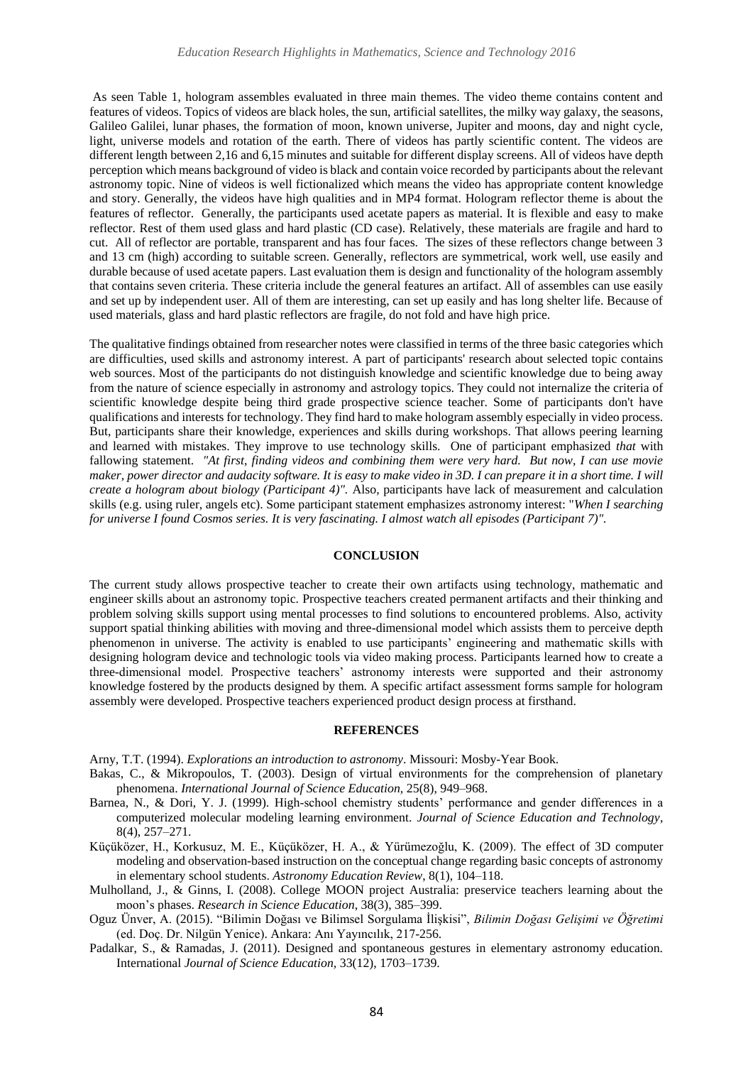As seen Table 1, hologram assembles evaluated in three main themes. The video theme contains content and features of videos. Topics of videos are black holes, the sun, artificial satellites, the milky way galaxy, the seasons, Galileo Galilei, lunar phases, the formation of moon, known universe, Jupiter and moons, day and night cycle, light, universe models and rotation of the earth. There of videos has partly scientific content. The videos are different length between 2,16 and 6,15 minutes and suitable for different display screens. All of videos have depth perception which means background of video is black and contain voice recorded by participants about the relevant astronomy topic. Nine of videos is well fictionalized which means the video has appropriate content knowledge and story. Generally, the videos have high qualities and in MP4 format. Hologram reflector theme is about the features of reflector. Generally, the participants used acetate papers as material. It is flexible and easy to make reflector. Rest of them used glass and hard plastic (CD case). Relatively, these materials are fragile and hard to cut. All of reflector are portable, transparent and has four faces. The sizes of these reflectors change between 3 and 13 cm (high) according to suitable screen. Generally, reflectors are symmetrical, work well, use easily and durable because of used acetate papers. Last evaluation them is design and functionality of the hologram assembly that contains seven criteria. These criteria include the general features an artifact. All of assembles can use easily and set up by independent user. All of them are interesting, can set up easily and has long shelter life. Because of used materials, glass and hard plastic reflectors are fragile, do not fold and have high price.

The qualitative findings obtained from researcher notes were classified in terms of the three basic categories which are difficulties, used skills and astronomy interest. A part of participants' research about selected topic contains web sources. Most of the participants do not distinguish knowledge and scientific knowledge due to being away from the nature of science especially in astronomy and astrology topics. They could not internalize the criteria of scientific knowledge despite being third grade prospective science teacher. Some of participants don't have qualifications and interests for technology. They find hard to make hologram assembly especially in video process. But, participants share their knowledge, experiences and skills during workshops. That allows peering learning and learned with mistakes. They improve to use technology skills. One of participant emphasized *that* with fallowing statement. *"At first, finding videos and combining them were very hard. But now, I can use movie maker, power director and audacity software. It is easy to make video in 3D. I can prepare it in a short time. I will create a hologram about biology (Participant 4)".* Also, participants have lack of measurement and calculation skills (e.g. using ruler, angels etc). Some participant statement emphasizes astronomy interest: "*When I searching for universe I found Cosmos series. It is very fascinating. I almost watch all episodes (Participant 7)".*

#### **CONCLUSION**

The current study allows prospective teacher to create their own artifacts using technology, mathematic and engineer skills about an astronomy topic. Prospective teachers created permanent artifacts and their thinking and problem solving skills support using mental processes to find solutions to encountered problems. Also, activity support spatial thinking abilities with moving and three-dimensional model which assists them to perceive depth phenomenon in universe. The activity is enabled to use participants' engineering and mathematic skills with designing hologram device and technologic tools via video making process. Participants learned how to create a three-dimensional model. Prospective teachers' astronomy interests were supported and their astronomy knowledge fostered by the products designed by them. A specific artifact assessment forms sample for hologram assembly were developed. Prospective teachers experienced product design process at firsthand.

#### **REFERENCES**

Arny, T.T. (1994). *Explorations an introduction to astronomy*. Missouri: Mosby-Year Book.

- Bakas, C., & Mikropoulos, T. (2003). Design of virtual environments for the comprehension of planetary phenomena. *International Journal of Science Education,* 25(8), 949–968.
- Barnea, N., & Dori, Y. J. (1999). High-school chemistry students' performance and gender differences in a computerized molecular modeling learning environment. *Journal of Science Education and Technology*, 8(4), 257–271.
- Küçüközer, H., Korkusuz, M. E., Küçüközer, H. A., & Yürümezoğlu, K. (2009). The effect of 3D computer modeling and observation-based instruction on the conceptual change regarding basic concepts of astronomy in elementary school students. *Astronomy Education Review*, 8(1), 104–118.
- Mulholland, J., & Ginns, I. (2008). College MOON project Australia: preservice teachers learning about the moon's phases. *Research in Science Education*, 38(3), 385–399.
- Oguz Ünver, A. (2015). "Bilimin Doğası ve Bilimsel Sorgulama İlişkisi", *Bilimin Doğası Gelişimi ve Öğretimi* (ed. Doç. Dr. Nilgün Yenice). Ankara: Anı Yayıncılık, 217-256.
- Padalkar, S., & Ramadas, J. (2011). Designed and spontaneous gestures in elementary astronomy education. International *Journal of Science Education,* 33(12), 1703–1739.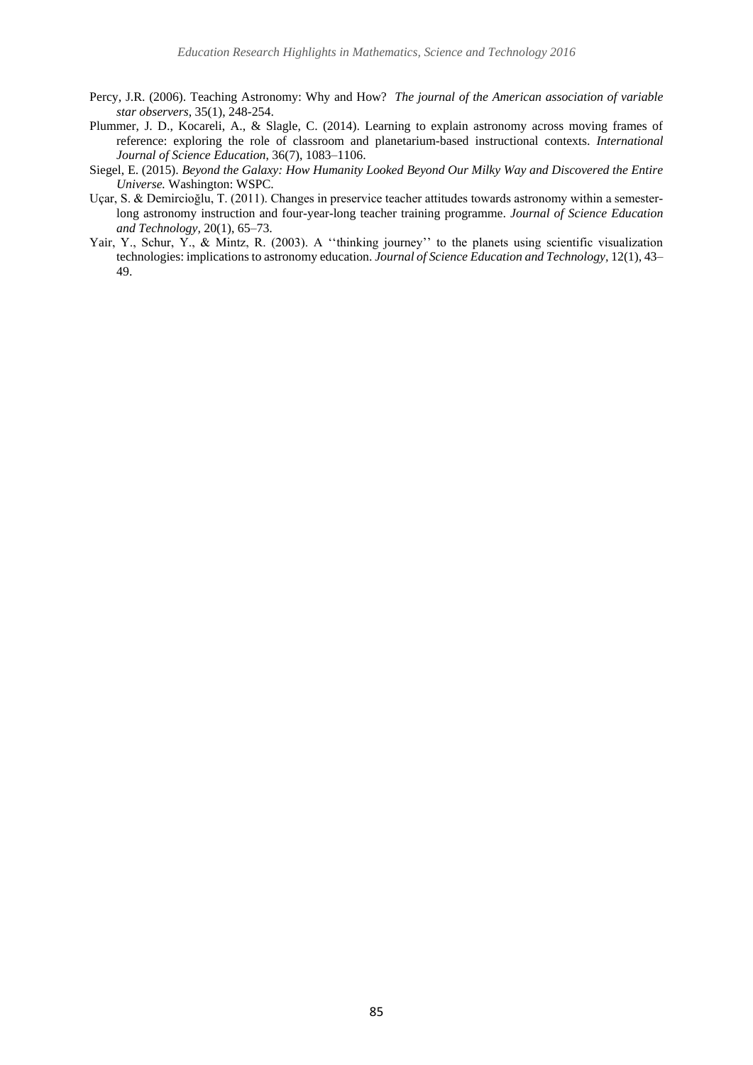- Percy, J.R. (2006). Teaching Astronomy: Why and How? *The journal of the American association of variable star observers*, 35(1), 248-254.
- Plummer, J. D., Kocareli, A., & Slagle, C. (2014). Learning to explain astronomy across moving frames of reference: exploring the role of classroom and planetarium-based instructional contexts. *International Journal of Science Education*, 36(7), 1083–1106.
- Siegel, E. (2015). *Beyond the Galaxy: How Humanity Looked Beyond Our Milky Way and Discovered the Entire Universe.* Washington: WSPC.
- Uçar, S. & Demircioğlu, T. (2011). Changes in preservice teacher attitudes towards astronomy within a semesterlong astronomy instruction and four-year-long teacher training programme. *Journal of Science Education and Technology,* 20(1), 65–73.
- Yair, Y., Schur, Y., & Mintz, R. (2003). A "thinking journey" to the planets using scientific visualization technologies: implications to astronomy education. *Journal of Science Education and Technology,* 12(1), 43– 49.